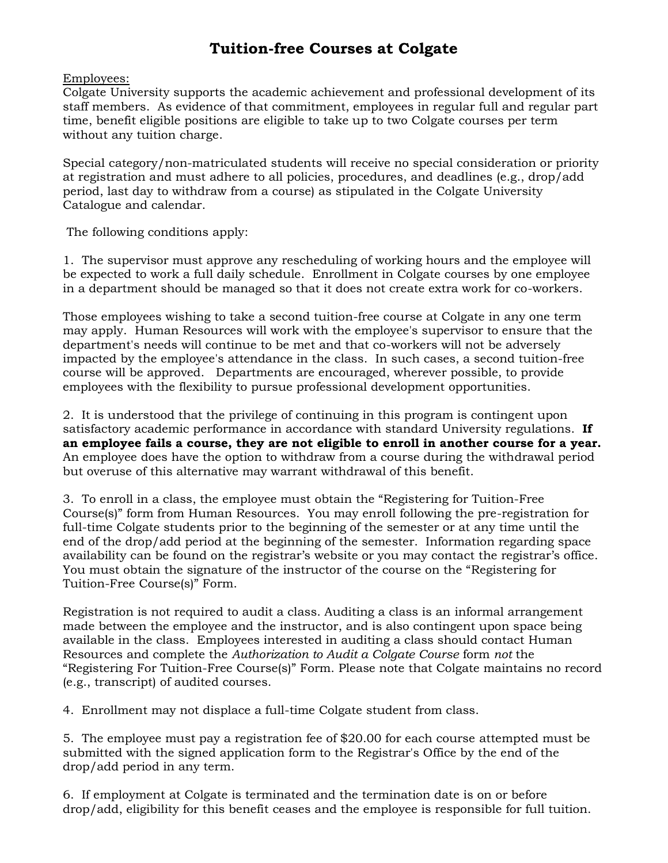### **Tuition-free Courses at Colgate**

### Employees:

Colgate University supports the academic achievement and professional development of its staff members. As evidence of that commitment, employees in regular full and regular part time, benefit eligible positions are eligible to take up to two Colgate courses per term without any tuition charge.

Special category/non-matriculated students will receive no special consideration or priority at registration and must adhere to all policies, procedures, and deadlines (e.g., drop/add period, last day to withdraw from a course) as stipulated in the Colgate University Catalogue and calendar.

The following conditions apply:

1. The supervisor must approve any rescheduling of working hours and the employee will be expected to work a full daily schedule. Enrollment in Colgate courses by one employee in a department should be managed so that it does not create extra work for co-workers.

Those employees wishing to take a second tuition-free course at Colgate in any one term may apply. Human Resources will work with the employee's supervisor to ensure that the department's needs will continue to be met and that co-workers will not be adversely impacted by the employee's attendance in the class. In such cases, a second tuition-free course will be approved. Departments are encouraged, wherever possible, to provide employees with the flexibility to pursue professional development opportunities.

2. It is understood that the privilege of continuing in this program is contingent upon satisfactory academic performance in accordance with standard University regulations. **If an employee fails a course, they are not eligible to enroll in another course for a year.** An employee does have the option to withdraw from a course during the withdrawal period but overuse of this alternative may warrant withdrawal of this benefit.

3. To enroll in a class, the employee must obtain the "Registering for Tuition-Free Course(s)" form from Human Resources. You may enroll following the pre-registration for full-time Colgate students prior to the beginning of the semester or at any time until the end of the drop/add period at the beginning of the semester. Information regarding space availability can be found on the registrar's website or you may contact the registrar's office. You must obtain the signature of the instructor of the course on the "Registering for Tuition-Free Course(s)" Form.

Registration is not required to audit a class. Auditing a class is an informal arrangement made between the employee and the instructor, and is also contingent upon space being available in the class. Employees interested in auditing a class should contact Human Resources and complete the *Authorization to Audit a Colgate Course* form *not* the "Registering For Tuition-Free Course(s)" Form. Please note that Colgate maintains no record (e.g., transcript) of audited courses.

4. Enrollment may not displace a full-time Colgate student from class.

5. The employee must pay a registration fee of \$20.00 for each course attempted must be submitted with the signed application form to the Registrar's Office by the end of the drop/add period in any term.

6. If employment at Colgate is terminated and the termination date is on or before drop/add, eligibility for this benefit ceases and the employee is responsible for full tuition.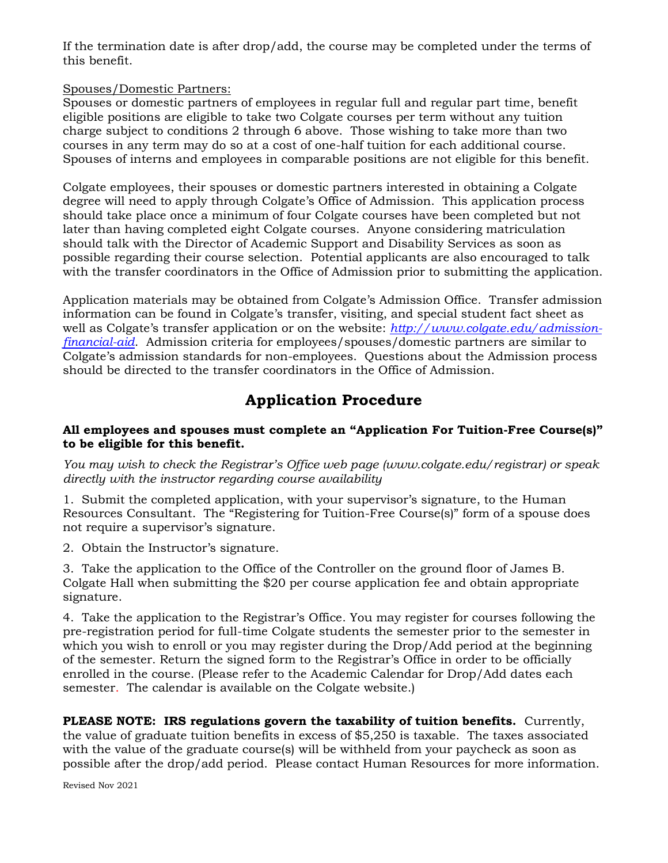If the termination date is after drop/add, the course may be completed under the terms of this benefit.

### Spouses/Domestic Partners:

Spouses or domestic partners of employees in regular full and regular part time, benefit eligible positions are eligible to take two Colgate courses per term without any tuition charge subject to conditions 2 through 6 above. Those wishing to take more than two courses in any term may do so at a cost of one-half tuition for each additional course. Spouses of interns and employees in comparable positions are not eligible for this benefit.

Colgate employees, their spouses or domestic partners interested in obtaining a Colgate degree will need to apply through Colgate's Office of Admission. This application process should take place once a minimum of four Colgate courses have been completed but not later than having completed eight Colgate courses. Anyone considering matriculation should talk with the Director of Academic Support and Disability Services as soon as possible regarding their course selection. Potential applicants are also encouraged to talk with the transfer coordinators in the Office of Admission prior to submitting the application.

Application materials may be obtained from Colgate's Admission Office. Transfer admission information can be found in Colgate's transfer, visiting, and special student fact sheet as well as Colgate's transfer application or on the website: *[http://www.colgate.edu/admission](http://www.colgate.edu/admission-financial-aid)[financial-aid](http://www.colgate.edu/admission-financial-aid)*. Admission criteria for employees/spouses/domestic partners are similar to Colgate's admission standards for non-employees. Questions about the Admission process should be directed to the transfer coordinators in the Office of Admission.

## **Application Procedure**

### **All employees and spouses must complete an "Application For Tuition-Free Course(s)" to be eligible for this benefit.**

*You may wish to check the Registrar's Office web page (www.colgate.edu/registrar) or speak directly with the instructor regarding course availability*

1. Submit the completed application, with your supervisor's signature, to the Human Resources Consultant. The "Registering for Tuition-Free Course(s)" form of a spouse does not require a supervisor's signature.

2. Obtain the Instructor's signature.

3. Take the application to the Office of the Controller on the ground floor of James B. Colgate Hall when submitting the \$20 per course application fee and obtain appropriate signature.

4. Take the application to the Registrar's Office. You may register for courses following the pre-registration period for full-time Colgate students the semester prior to the semester in which you wish to enroll or you may register during the Drop/Add period at the beginning of the semester. Return the signed form to the Registrar's Office in order to be officially enrolled in the course. (Please refer to the Academic Calendar for Drop/Add dates each semester. The calendar is available on the Colgate website.)

**PLEASE NOTE: IRS regulations govern the taxability of tuition benefits.** Currently, the value of graduate tuition benefits in excess of \$5,250 is taxable. The taxes associated with the value of the graduate course(s) will be withheld from your paycheck as soon as possible after the drop/add period. Please contact Human Resources for more information.

Revised Nov 2021